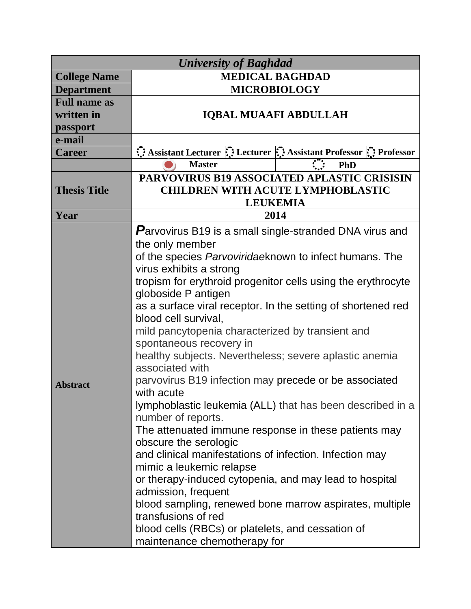| <b>University of Baghdad</b> |                                                                                      |                                    |  |  |
|------------------------------|--------------------------------------------------------------------------------------|------------------------------------|--|--|
| <b>College Name</b>          | <b>MEDICAL BAGHDAD</b>                                                               |                                    |  |  |
| <b>Department</b>            | <b>MICROBIOLOGY</b>                                                                  |                                    |  |  |
| <b>Full name as</b>          |                                                                                      |                                    |  |  |
| written in                   | <b>IQBAL MUAAFI ABDULLAH</b>                                                         |                                    |  |  |
| passport                     |                                                                                      |                                    |  |  |
| e-mail                       |                                                                                      |                                    |  |  |
| <b>Career</b>                | Assistant Lecturer : Lecturer : Assistant Professor : Professor                      |                                    |  |  |
|                              | <b>Master</b>                                                                        | $\mathcal{L}^{\mathcal{L}}$<br>PhD |  |  |
|                              | <b>PARVOVIRUS B19 ASSOCIATED APLASTIC CRISISIN</b>                                   |                                    |  |  |
| <b>Thesis Title</b>          | <b>CHILDREN WITH ACUTE LYMPHOBLASTIC</b>                                             |                                    |  |  |
|                              |                                                                                      | <b>LEUKEMIA</b>                    |  |  |
| Year                         | 2014                                                                                 |                                    |  |  |
|                              | <b>Parvovirus B19 is a small single-stranded DNA virus and</b>                       |                                    |  |  |
|                              | the only member                                                                      |                                    |  |  |
|                              | of the species Parvoviridaeknown to infect humans. The                               |                                    |  |  |
|                              | virus exhibits a strong                                                              |                                    |  |  |
|                              | tropism for erythroid progenitor cells using the erythrocyte                         |                                    |  |  |
|                              | globoside P antigen                                                                  |                                    |  |  |
|                              | as a surface viral receptor. In the setting of shortened red<br>blood cell survival, |                                    |  |  |
|                              | mild pancytopenia characterized by transient and                                     |                                    |  |  |
|                              | spontaneous recovery in                                                              |                                    |  |  |
|                              | healthy subjects. Nevertheless; severe aplastic anemia<br>associated with            |                                    |  |  |
| <b>Abstract</b>              | parvovirus B19 infection may precede or be associated<br>with acute                  |                                    |  |  |
|                              | lymphoblastic leukemia (ALL) that has been described in a                            |                                    |  |  |
|                              | number of reports.                                                                   |                                    |  |  |
|                              | The attenuated immune response in these patients may                                 |                                    |  |  |
|                              | obscure the serologic                                                                |                                    |  |  |
|                              | and clinical manifestations of infection. Infection may                              |                                    |  |  |
|                              | mimic a leukemic relapse                                                             |                                    |  |  |
|                              | or therapy-induced cytopenia, and may lead to hospital                               |                                    |  |  |
|                              | admission, frequent                                                                  |                                    |  |  |
|                              | blood sampling, renewed bone marrow aspirates, multiple                              |                                    |  |  |
|                              | transfusions of red                                                                  |                                    |  |  |
|                              | blood cells (RBCs) or platelets, and cessation of                                    |                                    |  |  |
|                              | maintenance chemotherapy for                                                         |                                    |  |  |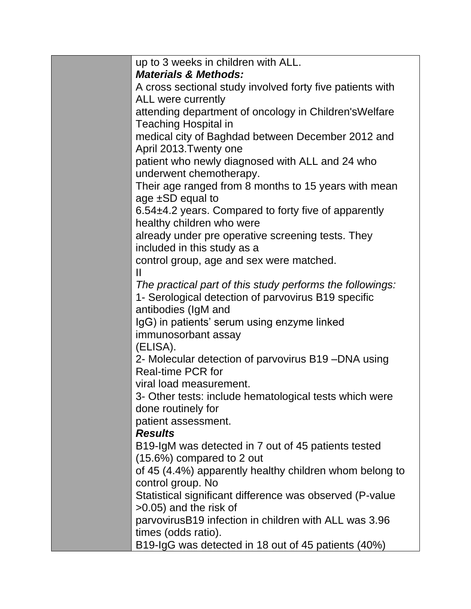| up to 3 weeks in children with ALL.                                           |
|-------------------------------------------------------------------------------|
| <b>Materials &amp; Methods:</b>                                               |
| A cross sectional study involved forty five patients with                     |
| ALL were currently                                                            |
| attending department of oncology in Children's Welfare                        |
| Teaching Hospital in<br>medical city of Baghdad between December 2012 and     |
| April 2013. Twenty one                                                        |
| patient who newly diagnosed with ALL and 24 who<br>underwent chemotherapy.    |
| Their age ranged from 8 months to 15 years with mean                          |
| age $\pm$ SD equal to                                                         |
| 6.54±4.2 years. Compared to forty five of apparently                          |
| healthy children who were                                                     |
| already under pre operative screening tests. They                             |
| included in this study as a                                                   |
| control group, age and sex were matched.                                      |
|                                                                               |
| The practical part of this study performs the followings:                     |
| 1- Serological detection of parvovirus B19 specific                           |
| antibodies (IgM and                                                           |
| IgG) in patients' serum using enzyme linked                                   |
| immunosorbant assay<br>(ELISA).                                               |
| 2- Molecular detection of parvovirus B19-DNA using                            |
| <b>Real-time PCR for</b>                                                      |
| viral load measurement.                                                       |
| 3- Other tests: include hematological tests which were                        |
| done routinely for                                                            |
| patient assessment.                                                           |
| <b>Results</b>                                                                |
| B19-IgM was detected in 7 out of 45 patients tested                           |
| $(15.6\%)$ compared to 2 out                                                  |
| of 45 (4.4%) apparently healthy children whom belong to                       |
| control group. No<br>Statistical significant difference was observed (P-value |
| $>0.05$ ) and the risk of                                                     |
| parvovirusB19 infection in children with ALL was 3.96                         |
| times (odds ratio).                                                           |
| B19-IgG was detected in 18 out of 45 patients (40%)                           |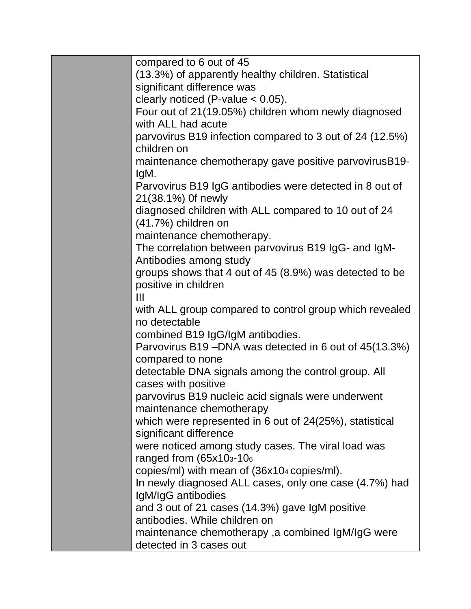| compared to 6 out of 45                                  |  |
|----------------------------------------------------------|--|
| (13.3%) of apparently healthy children. Statistical      |  |
| significant difference was                               |  |
| clearly noticed (P-value $< 0.05$ ).                     |  |
| Four out of 21(19.05%) children whom newly diagnosed     |  |
| with ALL had acute                                       |  |
| parvovirus B19 infection compared to 3 out of 24 (12.5%) |  |
| children on                                              |  |
| maintenance chemotherapy gave positive parvovirusB19-    |  |
| IgM.                                                     |  |
| Parvovirus B19 IgG antibodies were detected in 8 out of  |  |
| 21(38.1%) Of newly                                       |  |
| diagnosed children with ALL compared to 10 out of 24     |  |
| (41.7%) children on                                      |  |
| maintenance chemotherapy.                                |  |
| The correlation between parvovirus B19 IgG- and IgM-     |  |
| Antibodies among study                                   |  |
| groups shows that 4 out of 45 (8.9%) was detected to be  |  |
| positive in children                                     |  |
| Ш                                                        |  |
| with ALL group compared to control group which revealed  |  |
| no detectable                                            |  |
| combined B19 IgG/IgM antibodies.                         |  |
| Parvovirus B19-DNA was detected in 6 out of 45(13.3%)    |  |
| compared to none                                         |  |
| detectable DNA signals among the control group. All      |  |
| cases with positive                                      |  |
| parvovirus B19 nucleic acid signals were underwent       |  |
| maintenance chemotherapy                                 |  |
| which were represented in 6 out of 24(25%), statistical  |  |
| significant difference                                   |  |
| were noticed among study cases. The viral load was       |  |
| ranged from $(65x103-106)$                               |  |
| copies/ml) with mean of (36x104 copies/ml).              |  |
| In newly diagnosed ALL cases, only one case (4.7%) had   |  |
| IgM/IgG antibodies                                       |  |
| and 3 out of 21 cases (14.3%) gave IgM positive          |  |
| antibodies. While children on                            |  |
| maintenance chemotherapy, a combined IgM/IgG were        |  |
| detected in 3 cases out                                  |  |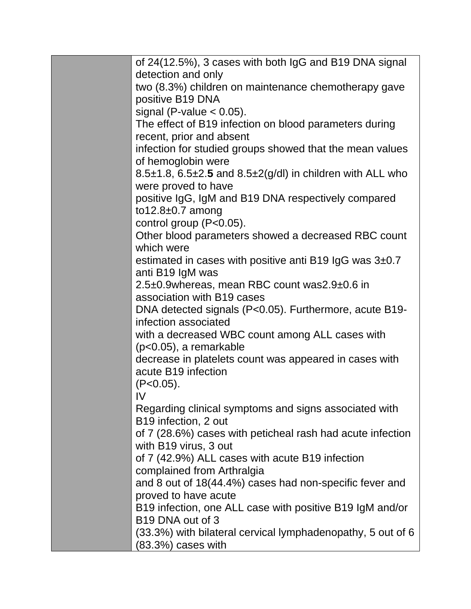| of 24(12.5%), 3 cases with both IgG and B19 DNA signal                     |
|----------------------------------------------------------------------------|
| detection and only                                                         |
| two (8.3%) children on maintenance chemotherapy gave                       |
| positive B19 DNA                                                           |
| signal (P-value $< 0.05$ ).                                                |
| The effect of B19 infection on blood parameters during                     |
| recent, prior and absent                                                   |
| infection for studied groups showed that the mean values                   |
| of hemoglobin were                                                         |
| 8.5±1.8, 6.5±2.5 and 8.5±2(g/dl) in children with ALL who                  |
| were proved to have                                                        |
| positive IgG, IgM and B19 DNA respectively compared                        |
| to $12.8 \pm 0.7$ among                                                    |
| control group (P<0.05).                                                    |
| Other blood parameters showed a decreased RBC count                        |
| which were                                                                 |
| estimated in cases with positive anti B19 IgG was $3\pm0.7$                |
| anti B19 IgM was                                                           |
| 2.5±0.9whereas, mean RBC count was2.9±0.6 in<br>association with B19 cases |
| DNA detected signals (P<0.05). Furthermore, acute B19-                     |
| infection associated                                                       |
| with a decreased WBC count among ALL cases with                            |
| $(p<0.05)$ , a remarkable                                                  |
| decrease in platelets count was appeared in cases with                     |
| acute B19 infection                                                        |
| $(P<0.05)$ .                                                               |
| IV                                                                         |
| Regarding clinical symptoms and signs associated with                      |
| B19 infection, 2 out                                                       |
| of 7 (28.6%) cases with peticheal rash had acute infection                 |
| with B19 virus, 3 out                                                      |
| of 7 (42.9%) ALL cases with acute B19 infection                            |
| complained from Arthralgia                                                 |
| and 8 out of 18(44.4%) cases had non-specific fever and                    |
| proved to have acute                                                       |
| B19 infection, one ALL case with positive B19 IgM and/or                   |
| B <sub>19</sub> DNA out of 3                                               |
| (33.3%) with bilateral cervical lymphadenopathy, 5 out of 6                |
| $(83.3%)$ cases with                                                       |